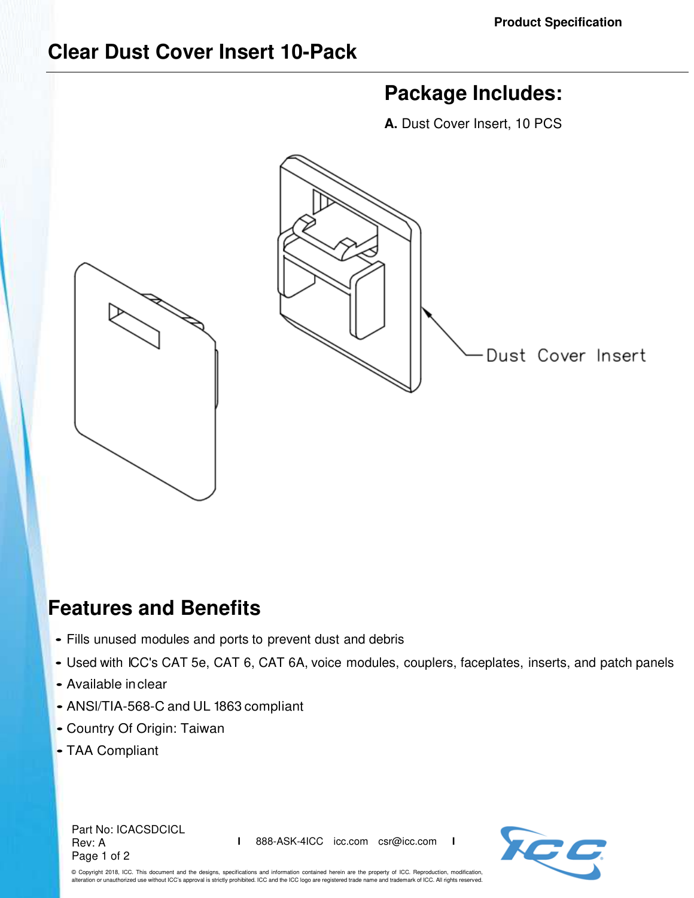## **Clear Dust Cover Insert 10-Pack**

## **Package Includes:**

**A.** Dust Cover Insert, 10 PCS



## **Features and Benefits**

- Fills unused modules and ports to prevent dust and debris
- Used with ICC's CAT 5e, CAT 6, CAT 6A, voice modules, couplers, faceplates, inserts, and patch panels
- Available in clear
- ANSl/TIA-568-C and UL 1863 compliant
- Country Of Origin: Taiwan
- TAA Compliant

Part No: ICACSDCICL Rev: A Page 1 of 2

**I** 888-ASK-4ICC icc.com csr@icc.com **I**



© Copyright 2018, ICC. This document and the designs, specifications and information contained herein are the property of ICC. Reproduction, modification, alteration or unauthorized use without ICC's approval is strictly prohibited. ICC and the ICC logo are registered trade name and trademark of ICC. All rights reserved.